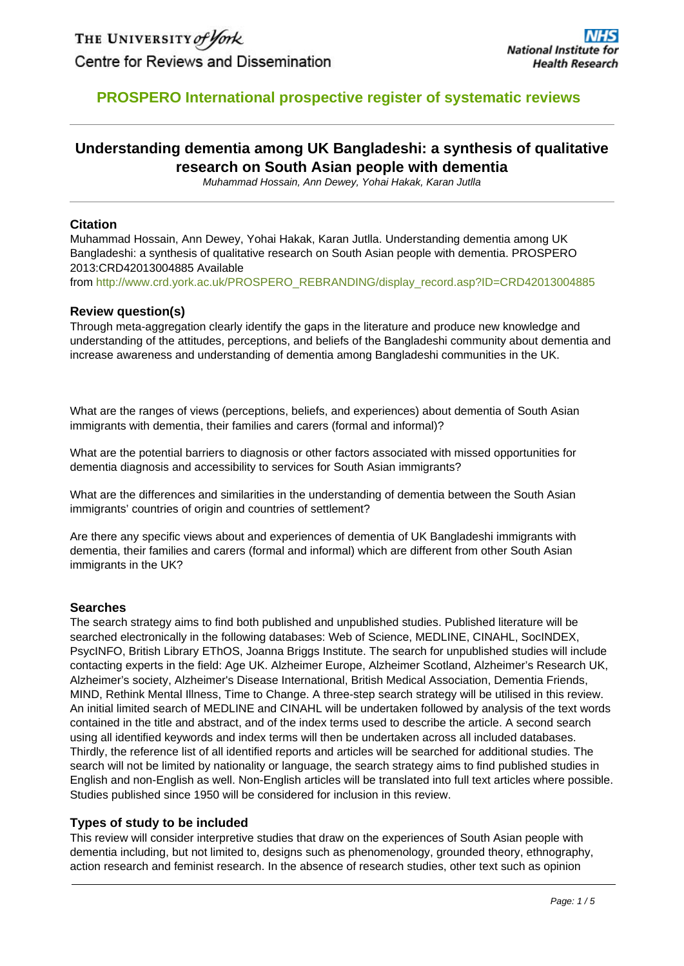# **PROSPERO International prospective register of systematic reviews**

# **Understanding dementia among UK Bangladeshi: a synthesis of qualitative research on South Asian people with dementia**

Muhammad Hossain, Ann Dewey, Yohai Hakak, Karan Jutlla

### **Citation**

Muhammad Hossain, Ann Dewey, Yohai Hakak, Karan Jutlla. Understanding dementia among UK Bangladeshi: a synthesis of qualitative research on South Asian people with dementia. PROSPERO 2013:CRD42013004885 Available

from [http://www.crd.york.ac.uk/PROSPERO\\_REBRANDING/display\\_record.asp?ID=CRD42013004885](http://www.crd.york.ac.uk/PROSPERO/display_record.asp?ID=CRD42013004885)

### **Review question(s)**

Through meta-aggregation clearly identify the gaps in the literature and produce new knowledge and understanding of the attitudes, perceptions, and beliefs of the Bangladeshi community about dementia and increase awareness and understanding of dementia among Bangladeshi communities in the UK.

What are the ranges of views (perceptions, beliefs, and experiences) about dementia of South Asian immigrants with dementia, their families and carers (formal and informal)?

What are the potential barriers to diagnosis or other factors associated with missed opportunities for dementia diagnosis and accessibility to services for South Asian immigrants?

What are the differences and similarities in the understanding of dementia between the South Asian immigrants' countries of origin and countries of settlement?

Are there any specific views about and experiences of dementia of UK Bangladeshi immigrants with dementia, their families and carers (formal and informal) which are different from other South Asian immigrants in the UK?

### **Searches**

The search strategy aims to find both published and unpublished studies. Published literature will be searched electronically in the following databases: Web of Science, MEDLINE, CINAHL, SocINDEX, PsycINFO, British Library EThOS, Joanna Briggs Institute. The search for unpublished studies will include contacting experts in the field: Age UK. Alzheimer Europe, Alzheimer Scotland, Alzheimer's Research UK, Alzheimer's society, Alzheimer's Disease International, British Medical Association, Dementia Friends, MIND, Rethink Mental Illness, Time to Change. A three-step search strategy will be utilised in this review. An initial limited search of MEDLINE and CINAHL will be undertaken followed by analysis of the text words contained in the title and abstract, and of the index terms used to describe the article. A second search using all identified keywords and index terms will then be undertaken across all included databases. Thirdly, the reference list of all identified reports and articles will be searched for additional studies. The search will not be limited by nationality or language, the search strategy aims to find published studies in English and non-English as well. Non-English articles will be translated into full text articles where possible. Studies published since 1950 will be considered for inclusion in this review.

### **Types of study to be included**

This review will consider interpretive studies that draw on the experiences of South Asian people with dementia including, but not limited to, designs such as phenomenology, grounded theory, ethnography, action research and feminist research. In the absence of research studies, other text such as opinion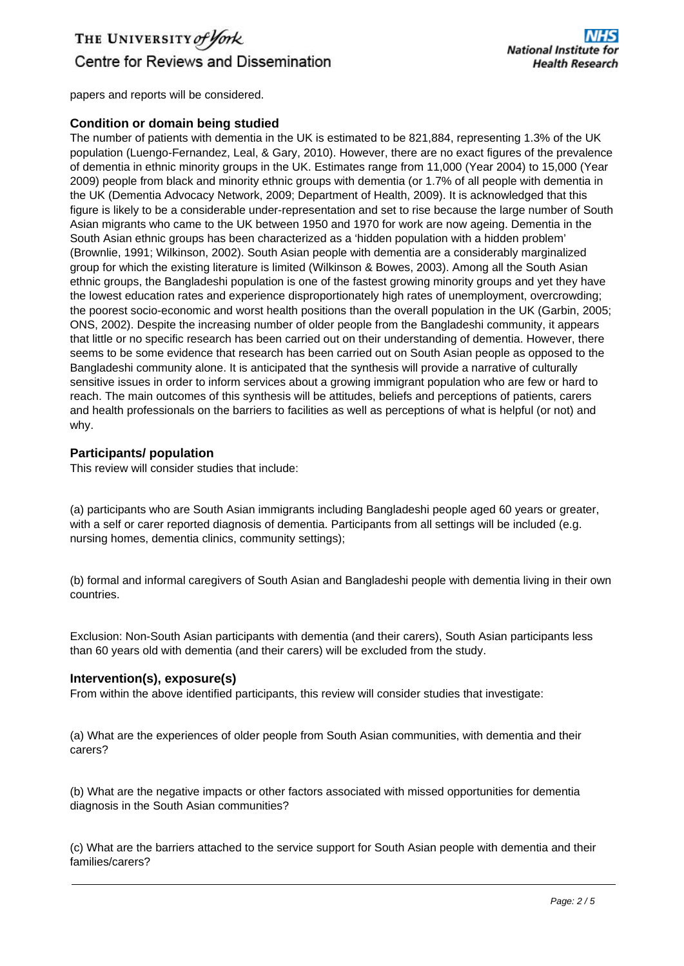# THE UNIVERSITY of York Centre for Reviews and Dissemination

papers and reports will be considered.

### **Condition or domain being studied**

The number of patients with dementia in the UK is estimated to be 821,884, representing 1.3% of the UK population (Luengo-Fernandez, Leal, & Gary, 2010). However, there are no exact figures of the prevalence of dementia in ethnic minority groups in the UK. Estimates range from 11,000 (Year 2004) to 15,000 (Year 2009) people from black and minority ethnic groups with dementia (or 1.7% of all people with dementia in the UK (Dementia Advocacy Network, 2009; Department of Health, 2009). It is acknowledged that this figure is likely to be a considerable under-representation and set to rise because the large number of South Asian migrants who came to the UK between 1950 and 1970 for work are now ageing. Dementia in the South Asian ethnic groups has been characterized as a 'hidden population with a hidden problem' (Brownlie, 1991; Wilkinson, 2002). South Asian people with dementia are a considerably marginalized group for which the existing literature is limited (Wilkinson & Bowes, 2003). Among all the South Asian ethnic groups, the Bangladeshi population is one of the fastest growing minority groups and yet they have the lowest education rates and experience disproportionately high rates of unemployment, overcrowding; the poorest socio-economic and worst health positions than the overall population in the UK (Garbin, 2005; ONS, 2002). Despite the increasing number of older people from the Bangladeshi community, it appears that little or no specific research has been carried out on their understanding of dementia. However, there seems to be some evidence that research has been carried out on South Asian people as opposed to the Bangladeshi community alone. It is anticipated that the synthesis will provide a narrative of culturally sensitive issues in order to inform services about a growing immigrant population who are few or hard to reach. The main outcomes of this synthesis will be attitudes, beliefs and perceptions of patients, carers and health professionals on the barriers to facilities as well as perceptions of what is helpful (or not) and why.

### **Participants/ population**

This review will consider studies that include:

(a) participants who are South Asian immigrants including Bangladeshi people aged 60 years or greater, with a self or carer reported diagnosis of dementia. Participants from all settings will be included (e.g. nursing homes, dementia clinics, community settings);

(b) formal and informal caregivers of South Asian and Bangladeshi people with dementia living in their own countries.

Exclusion: Non-South Asian participants with dementia (and their carers), South Asian participants less than 60 years old with dementia (and their carers) will be excluded from the study.

### **Intervention(s), exposure(s)**

From within the above identified participants, this review will consider studies that investigate:

(a) What are the experiences of older people from South Asian communities, with dementia and their carers?

(b) What are the negative impacts or other factors associated with missed opportunities for dementia diagnosis in the South Asian communities?

(c) What are the barriers attached to the service support for South Asian people with dementia and their families/carers?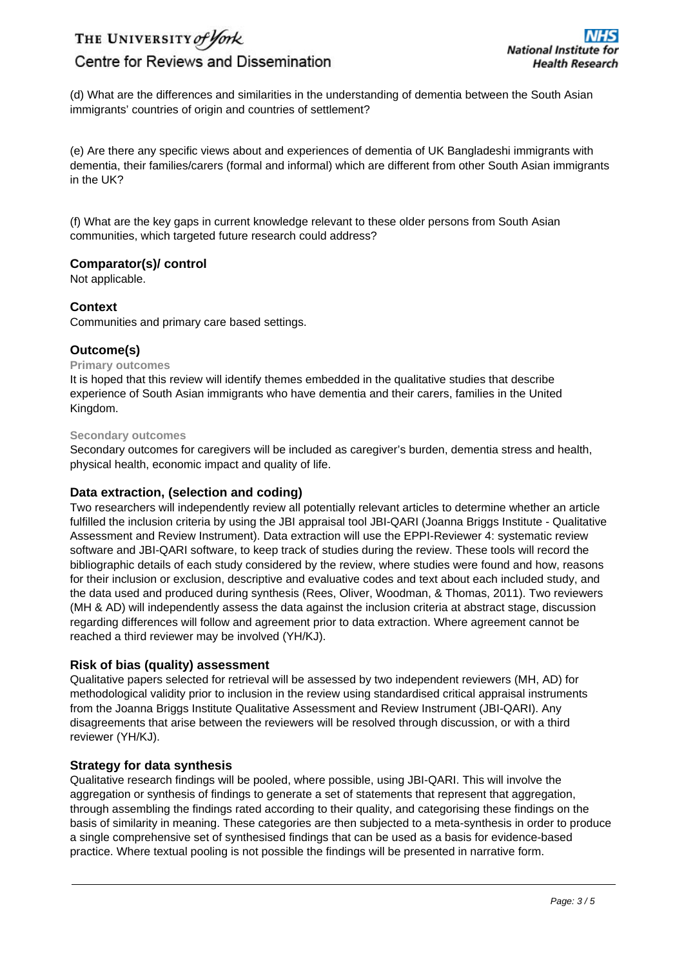THE UNIVERSITY of York

# Centre for Reviews and Dissemination

(d) What are the differences and similarities in the understanding of dementia between the South Asian immigrants' countries of origin and countries of settlement?

(e) Are there any specific views about and experiences of dementia of UK Bangladeshi immigrants with dementia, their families/carers (formal and informal) which are different from other South Asian immigrants in the UK?

(f) What are the key gaps in current knowledge relevant to these older persons from South Asian communities, which targeted future research could address?

### **Comparator(s)/ control**

Not applicable.

### **Context**

Communities and primary care based settings.

### **Outcome(s)**

### **Primary outcomes**

It is hoped that this review will identify themes embedded in the qualitative studies that describe experience of South Asian immigrants who have dementia and their carers, families in the United Kingdom.

#### **Secondary outcomes**

Secondary outcomes for caregivers will be included as caregiver's burden, dementia stress and health, physical health, economic impact and quality of life.

### **Data extraction, (selection and coding)**

Two researchers will independently review all potentially relevant articles to determine whether an article fulfilled the inclusion criteria by using the JBI appraisal tool JBI-QARI (Joanna Briggs Institute - Qualitative Assessment and Review Instrument). Data extraction will use the EPPI-Reviewer 4: systematic review software and JBI-QARI software, to keep track of studies during the review. These tools will record the bibliographic details of each study considered by the review, where studies were found and how, reasons for their inclusion or exclusion, descriptive and evaluative codes and text about each included study, and the data used and produced during synthesis (Rees, Oliver, Woodman, & Thomas, 2011). Two reviewers (MH & AD) will independently assess the data against the inclusion criteria at abstract stage, discussion regarding differences will follow and agreement prior to data extraction. Where agreement cannot be reached a third reviewer may be involved (YH/KJ).

### **Risk of bias (quality) assessment**

Qualitative papers selected for retrieval will be assessed by two independent reviewers (MH, AD) for methodological validity prior to inclusion in the review using standardised critical appraisal instruments from the Joanna Briggs Institute Qualitative Assessment and Review Instrument (JBI-QARI). Any disagreements that arise between the reviewers will be resolved through discussion, or with a third reviewer (YH/KJ).

### **Strategy for data synthesis**

Qualitative research findings will be pooled, where possible, using JBI-QARI. This will involve the aggregation or synthesis of findings to generate a set of statements that represent that aggregation, through assembling the findings rated according to their quality, and categorising these findings on the basis of similarity in meaning. These categories are then subjected to a meta-synthesis in order to produce a single comprehensive set of synthesised findings that can be used as a basis for evidence-based practice. Where textual pooling is not possible the findings will be presented in narrative form.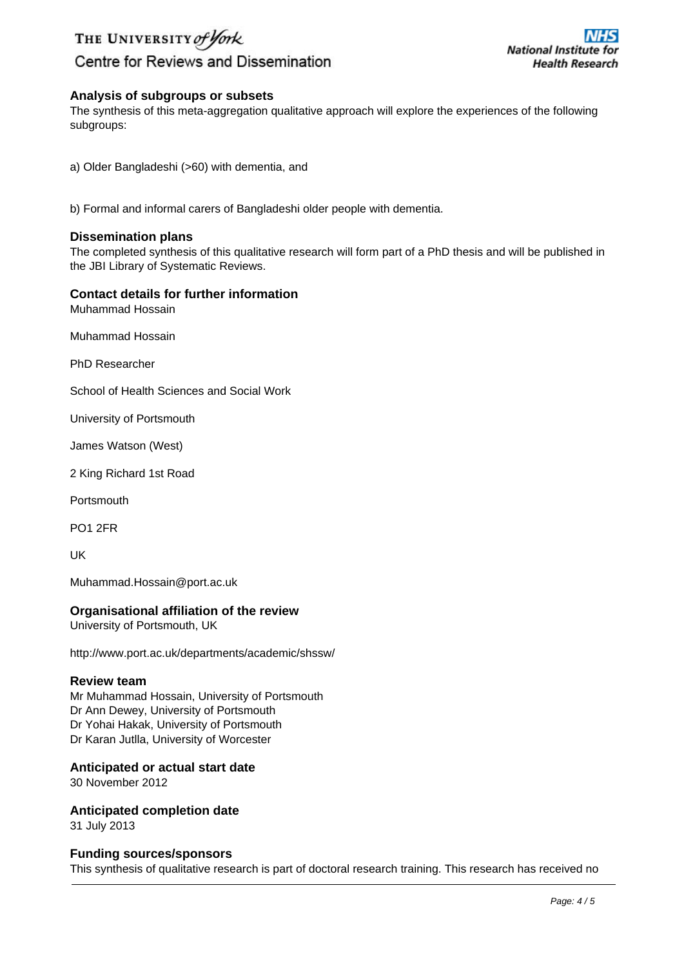# THE UNIVERSITY of York

# Centre for Reviews and Dissemination

### **Analysis of subgroups or subsets**

The synthesis of this meta-aggregation qualitative approach will explore the experiences of the following subgroups:

a) Older Bangladeshi (>60) with dementia, and

b) Formal and informal carers of Bangladeshi older people with dementia.

#### **Dissemination plans**

The completed synthesis of this qualitative research will form part of a PhD thesis and will be published in the JBI Library of Systematic Reviews.

### **Contact details for further information**

Muhammad Hossain

Muhammad Hossain

PhD Researcher

School of Health Sciences and Social Work

University of Portsmouth

James Watson (West)

2 King Richard 1st Road

**Portsmouth** 

PO1 2FR

UK

Muhammad.Hossain@port.ac.uk

### **Organisational affiliation of the review**

University of Portsmouth, UK

http://www.port.ac.uk/departments/academic/shssw/

#### **Review team**

Mr Muhammad Hossain, University of Portsmouth Dr Ann Dewey, University of Portsmouth Dr Yohai Hakak, University of Portsmouth Dr Karan Jutlla, University of Worcester

### **Anticipated or actual start date**

30 November 2012

**Anticipated completion date** 31 July 2013

**Funding sources/sponsors** This synthesis of qualitative research is part of doctoral research training. This research has received no